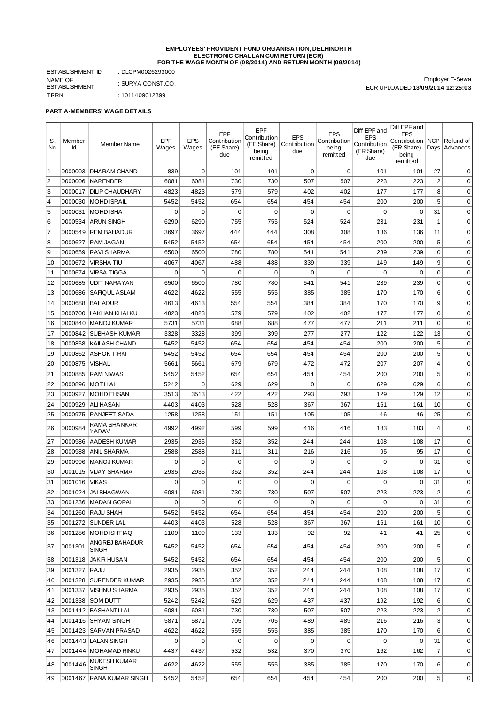#### **EMPLOYEES' PROVIDENT FUND ORGANISATION, DELHINORTH ELECTRONIC CHALLAN CUM RETURN (ECR) FOR THE WAGE MONTH OF (08/2014) AND RETURN MONTH (09/2014)**

ESTABLISHMENT ID : DLCPM0026293000 NAME OF ESTABLISHMENT : SURYA CONST.CO. TRRN : 1011409012399

Employer E-Sewa ECR UPLOADED **13/09/2014 12:25:03**

## **PART A-MEMBERS' WAGE DETAILS**

|           |         |                                             |                |             |                     | EPF                 |                     |                            | Diff EPF and               | Diff EPF and                     |                         |                  |
|-----------|---------|---------------------------------------------|----------------|-------------|---------------------|---------------------|---------------------|----------------------------|----------------------------|----------------------------------|-------------------------|------------------|
| SI.       | Member  |                                             | EPF            | <b>EPS</b>  | EPF<br>Contribution | Contribution        | <b>EPS</b>          | <b>EPS</b><br>Contribution | <b>EPS</b>                 | <b>EPS</b><br>Contribution   NCP |                         | Refund of        |
| No.       | Id      | Member Name                                 | Wages          | Wages       | (EE Share)          | (EE Share)<br>being | Contribution<br>due | being                      | Contribution<br>(ER Share) | (ER Share)                       |                         | Days Advances    |
|           |         |                                             |                |             | due                 | remitted            |                     | remitted                   | due                        | being<br>remitted                |                         |                  |
| 1         | 0000003 | <b>DHARAM CHAND</b>                         | 839            | $\mathbf 0$ | 101                 | 101                 | $\mathbf 0$         | $\mathbf 0$                | 101                        | 101                              | 27                      | $\Omega$         |
| 2         | 0000006 | <b>NARENDER</b>                             | 6081           | 6081        | 730                 | 730                 | 507                 | 507                        | 223                        | 223                              | $\overline{\mathbf{c}}$ | $\mathbf 0$      |
| 3         | 0000017 | <b>DILIP CHAUDHARY</b>                      | 4823           | 4823        | 579                 | 579                 | 402                 | 402                        | 177                        | 177                              | 8                       | $\mathbf 0$      |
| $\vert$ 4 | 0000030 | <b>MOHD ISRAIL</b>                          | 5452           | 5452        | 654                 | 654                 | 454                 | 454                        | 200                        | 200                              | 5                       | $\mathbf 0$      |
| 5         | 0000031 | <b>MOHD ISHA</b>                            | $\mathbf 0$    | $\mathbf 0$ | 0                   | $\mathbf 0$         | $\mathbf 0$         | 0                          | $\mathbf 0$                | $\mathbf 0$                      | 31                      | $\mathbf 0$      |
| 6         | 0000534 | <b>ARUN SINGH</b>                           | 6290           | 6290        | 755                 | 755                 | 524                 | 524                        | 231                        | 231                              | $1\,$                   | $\mathbf 0$      |
| 7         | 0000549 | <b>REM BAHADUR</b>                          | 3697           | 3697        | 444                 | 444                 | 308                 | 308                        | 136                        | 136                              | 11                      | $\mathbf 0$      |
| 8         | 0000627 | <b>RAM JAGAN</b>                            | 5452           | 5452        | 654                 | 654                 | 454                 | 454                        | 200                        | 200                              | 5                       | $\mathbf 0$      |
| 9         | 0000659 | <b>RAVI SHARMA</b>                          | 6500           | 6500        | 780                 | 780                 | 541                 | 541                        | 239                        | 239                              | 0                       | 0                |
| 10        | 0000672 | <b>VIRSHATIU</b>                            | 4067           | 4067        | 488                 | 488                 | 339                 | 339                        | 149                        | 149                              | 9                       | 0                |
|           |         |                                             |                |             |                     |                     |                     |                            |                            |                                  |                         |                  |
| 11        | 0000674 | <b>VIRSA TIGGA</b>                          | 0              | 0           | 0                   | 0                   | 0                   | 0                          | 0                          | 0                                | 0<br>$\mathbf 0$        | 0<br>$\mathbf 0$ |
| 12        | 0000685 | <b>UDIT NARAYAN</b><br><b>SAFIOUL ASLAM</b> | 6500<br>4622   | 6500        | 780<br>555          | 780<br>555          | 541<br>385          | 541<br>385                 | 239<br>170                 | 239<br>170                       | 6                       | 0                |
| 13        | 0000686 |                                             |                | 4622        |                     |                     |                     |                            |                            |                                  |                         |                  |
| 14        | 0000688 | <b>BAHADUR</b>                              | 4613           | 4613        | 554                 | 554                 | 384                 | 384                        | 170                        | 170                              | 9                       | $\mathbf 0$      |
| 15        | 0000700 | <b>LAKHAN KHALKU</b>                        | 4823           | 4823        | 579                 | 579                 | 402                 | 402                        | 177                        | 177                              | $\mathbf 0$             | $\mathbf 0$      |
| 16        | 0000840 | <b>MANOJ KUMAR</b>                          | 5731           | 5731        | 688                 | 688                 | 477                 | 477                        | 211                        | 211                              | $\mathbf 0$             | $\mathbf 0$      |
| 17        | 0000842 | <b>SUBHASH KUMAR</b>                        | 3328           | 3328        | 399                 | 399                 | 277                 | 277                        | 122                        | 122                              | 13                      | $\mathbf 0$      |
| 18        | 0000858 | <b>KAILASH CHAND</b>                        | 5452           | 5452        | 654                 | 654                 | 454                 | 454                        | 200                        | 200                              | 5                       | $\mathbf 0$      |
| 19        | 0000862 | <b>ASHOK TIRKI</b>                          | 5452           | 5452        | 654                 | 654                 | 454                 | 454                        | 200                        | 200                              | 5                       | $\mathbf 0$      |
| 20        | 0000875 | <b>VISHAL</b>                               | 5661           | 5661        | 679                 | 679                 | 472                 | 472                        | 207                        | 207                              | $\overline{4}$          | $\mathbf 0$      |
| 21        | 0000885 | <b>RAM NIWAS</b>                            | 5452           | 5452        | 654                 | 654                 | 454                 | 454                        | 200                        | 200                              | 5                       | $\mathbf 0$      |
| 22        | 0000896 | <b>MOTILAL</b>                              | 5242           | 0           | 629                 | 629                 | 0                   | 0                          | 629                        | 629                              | 6                       | $\mathbf 0$      |
| 23        | 0000927 | <b>MOHD EHSAN</b>                           | 3513           | 3513        | 422                 | 422                 | 293                 | 293                        | 129                        | 129                              | 12                      | 0                |
| 24        | 0000929 | <b>ALI HASAN</b>                            | 4403           | 4403        | 528                 | 528                 | 367                 | 367                        | 161                        | 161                              | 10                      | $\mathbf 0$      |
| 25        | 0000975 | <b>RANJEET SADA</b>                         | 1258           | 1258        | 151                 | 151                 | 105                 | 105                        | 46                         | 46                               | 25                      | 0                |
| 26        | 0000984 | RAMA SHANKAR<br>YADAV                       | 4992           | 4992        | 599                 | 599                 | 416                 | 416                        | 183                        | 183                              | $\overline{4}$          | $\mathbf 0$      |
| 27        | 0000986 | <b>AADESH KUMAR</b>                         | 2935           | 2935        | 352                 | 352                 | 244                 | 244                        | 108                        | 108                              | 17                      | $\mathbf 0$      |
| 28        | 0000988 | <b>ANIL SHARMA</b>                          | 2588           | 2588        | 311                 | 311                 | 216                 | 216                        | 95                         | 95                               | 17                      | $\mathbf 0$      |
| 29        | 0000996 | <b>MANOJ KUMAR</b>                          | $\mathbf 0$    | 0           | 0                   | $\boldsymbol{0}$    | $\mathbf 0$         | $\mathbf 0$                | $\mathbf 0$                | $\mathbf 0$                      | 31                      | $\mathbf 0$      |
| 30        | 0001015 | <b>VIJAY SHARMA</b>                         | 2935           | 2935        | 352                 | 352                 | 244                 | 244                        | 108                        | 108                              | 17                      | $\mathbf 0$      |
| 31        | 0001016 | VIKAS                                       | 0              | 0           | $\Omega$            | $\mathbf 0$         | 0                   | $\Omega$                   | 0                          | 0                                | 31                      | $\mathbf 0$      |
| 32        | 0001024 | <b>JAI BHAGWAN</b>                          | 6081           | 6081        | 730                 | 730                 | 507                 | 507                        | 223                        | 223                              | $\overline{c}$          | $\mathbf 0$      |
| 33        |         | 0001236   MADAN GOPAL                       | $\overline{0}$ | 0           | 0                   | 0                   | 0                   | 0                          | 0                          | 0                                | 31                      | 0                |
| 34        | 0001260 | RAJU SHAH                                   | 5452           | 5452        | 654                 | 654                 | 454                 | 454                        | 200                        | 200                              | 5                       | $\mathbf 0$      |
| 35        | 0001272 | <b>SUNDER LAL</b>                           | 4403           | 4403        | 528                 | 528                 | 367                 | 367                        | 161                        | 161                              | 10                      | $\mathbf 0$      |
| 36        |         | 0001286   MOHD ISHT IAO                     | 1109           | 1109        | 133                 | 133                 | 92                  | 92                         | 41                         | 41                               | 25                      | $\mathbf 0$      |
|           |         | ANGREJ BAHADUR                              |                |             |                     |                     |                     |                            |                            |                                  |                         |                  |
| 37        | 0001301 | <b>SINGH</b>                                | 5452           | 5452        | 654                 | 654                 | 454                 | 454                        | 200                        | 200                              | 5                       | 0                |
| 38        | 0001318 | <b>JAKIR HUSAN</b>                          | 5452           | 5452        | 654                 | 654                 | 454                 | 454                        | 200                        | 200                              | 5                       | $\mathbf 0$      |
| 39        | 0001327 | RAJU                                        | 2935           | 2935        | 352                 | 352                 | 244                 | 244                        | 108                        | 108                              | 17                      | 0                |
| 40        | 0001328 | <b>SURENDER KUMAR</b>                       | 2935           | 2935        | 352                 | 352                 | 244                 | 244                        | 108                        | 108                              | 17                      | 0                |
| 41        | 0001337 | <b>VISHNU SHARMA</b>                        | 2935           | 2935        | 352                 | 352                 | 244                 | 244                        | 108                        | 108                              | 17                      | 0                |
| 42        | 0001338 | SOM DUTT                                    | 5242           | 5242        | 629                 | 629                 | 437                 | 437                        | 192                        | 192                              | 6                       | 0                |
| 43        | 0001412 | BASHANTI LAL                                | 6081           | 6081        | 730                 | 730                 | 507                 | 507                        | 223                        | 223                              | $\overline{c}$          | 0                |
| 44        | 0001416 | SHYAM SINGH                                 | 5871           | 5871        | 705                 | 705                 | 489                 | 489                        | 216                        | 216                              | 3                       | 0                |
| 45        |         | 0001423   SARVAN PRASAD                     | 4622           | 4622        | 555                 | 555                 | 385                 | 385                        | 170                        | 170                              | 6                       | 0                |
| 46        |         | 0001443   LALAN SINGH                       | 0              | 0           | 0                   | 0                   | 0                   | 0                          | 0                          | 0                                | 31                      | 0                |
| 47        |         | 0001444   MOHAMAD RINKU                     | 4437           | 4437        | 532                 | 532                 | 370                 | 370                        | 162                        | 162                              | $\overline{7}$          | $\mathbf 0$      |
| 48        | 0001446 | MUKESH KUMAR                                | 4622           | 4622        | 555                 | 555                 | 385                 | 385                        | 170                        | 170                              | 6                       | 0                |
|           |         | <b>SINGH</b>                                |                |             |                     |                     |                     |                            |                            |                                  |                         |                  |
| 49        |         | 0001467 RANA KUMAR SINGH                    | 5452           | 5452        | 654                 | 654                 | 454                 | 454                        | 200                        | 200                              | 5                       | 0                |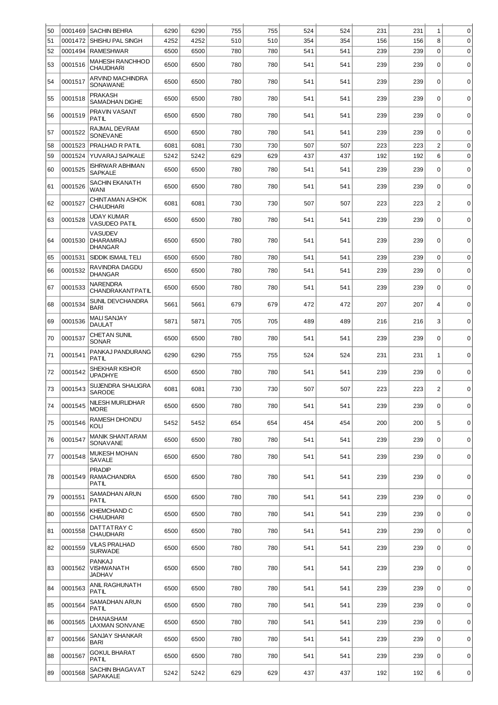| 50 | 0001469 | <b>SACHIN BEHRA</b>                                  | 6290 | 6290 | 755 | 755 | 524 | 524 | 231 | 231 | $\mathbf{1}$   | 0           |
|----|---------|------------------------------------------------------|------|------|-----|-----|-----|-----|-----|-----|----------------|-------------|
| 51 | 0001472 | SHISHU PAL SINGH                                     | 4252 | 4252 | 510 | 510 | 354 | 354 | 156 | 156 | 8              | $\mathbf 0$ |
| 52 | 0001494 | <b>RAMESHWAR</b>                                     | 6500 | 6500 | 780 | 780 | 541 | 541 | 239 | 239 | $\Omega$       | 0           |
| 53 | 0001516 | <b>MAHESH RANCHHOD</b><br><b>CHAUDHARI</b>           | 6500 | 6500 | 780 | 780 | 541 | 541 | 239 | 239 | $\mathbf 0$    | $\mathbf 0$ |
| 54 | 0001517 | ARVIND MACHINDRA<br>SONAWANE                         | 6500 | 6500 | 780 | 780 | 541 | 541 | 239 | 239 | 0              | $\mathbf 0$ |
| 55 | 0001518 | <b>PRAKASH</b><br><b>SAMADHAN DIGHE</b>              | 6500 | 6500 | 780 | 780 | 541 | 541 | 239 | 239 | $\Omega$       | $\mathbf 0$ |
| 56 | 0001519 | PRAVIN VASANT<br><b>PATIL</b>                        | 6500 | 6500 | 780 | 780 | 541 | 541 | 239 | 239 | $\mathbf 0$    | $\mathbf 0$ |
| 57 | 0001522 | RAJMAL DEVRAM<br>SONEVANE                            | 6500 | 6500 | 780 | 780 | 541 | 541 | 239 | 239 | 0              | $\mathbf 0$ |
| 58 | 0001523 | PRALHAD R PATIL                                      | 6081 | 6081 | 730 | 730 | 507 | 507 | 223 | 223 | 2              | $\mathbf 0$ |
| 59 | 0001524 | YUVARAJ SAPKALE                                      | 5242 | 5242 | 629 | 629 | 437 | 437 | 192 | 192 | 6              | $\mathbf 0$ |
| 60 | 0001525 | <b>ISHRWAR ABHIMAN</b><br><b>SAPKALE</b>             | 6500 | 6500 | 780 | 780 | 541 | 541 | 239 | 239 | 0              | $\pmb{0}$   |
| 61 | 0001526 | <b>SACHIN EKANATH</b><br><b>WANI</b>                 | 6500 | 6500 | 780 | 780 | 541 | 541 | 239 | 239 | 0              | $\mathbf 0$ |
| 62 | 0001527 | CHINTAMAN ASHOK<br><b>CHAUDHARI</b>                  | 6081 | 6081 | 730 | 730 | 507 | 507 | 223 | 223 | $\overline{c}$ | $\mathbf 0$ |
| 63 | 0001528 | <b>UDAY KUMAR</b><br><b>VASUDEO PATIL</b>            | 6500 | 6500 | 780 | 780 | 541 | 541 | 239 | 239 | $\Omega$       | $\mathbf 0$ |
| 64 | 0001530 | <b>VASUDEV</b><br><b>DHARAMRAJ</b><br><b>DHANGAR</b> | 6500 | 6500 | 780 | 780 | 541 | 541 | 239 | 239 | 0              | $\mathbf 0$ |
| 65 | 0001531 | SIDDIK ISMAIL TELI                                   | 6500 | 6500 | 780 | 780 | 541 | 541 | 239 | 239 | 0              | $\mathbf 0$ |
| 66 | 0001532 | RAVINDRA DAGDU<br><b>DHANGAR</b>                     | 6500 | 6500 | 780 | 780 | 541 | 541 | 239 | 239 | 0              | $\mathbf 0$ |
| 67 | 0001533 | <b>NARENDRA</b><br>CHANDRAKANTPATIL                  | 6500 | 6500 | 780 | 780 | 541 | 541 | 239 | 239 | $\mathbf 0$    | $\mathbf 0$ |
| 68 | 0001534 | <b>SUNIL DEVCHANDRA</b><br><b>BARI</b>               | 5661 | 5661 | 679 | 679 | 472 | 472 | 207 | 207 | $\overline{4}$ | $\mathbf 0$ |
| 69 | 0001536 | <b>MALI SANJAY</b><br><b>DAULAT</b>                  | 5871 | 5871 | 705 | 705 | 489 | 489 | 216 | 216 | 3              | $\mathbf 0$ |
| 70 | 0001537 | <b>CHET AN SUNIL</b><br><b>SONAR</b>                 | 6500 | 6500 | 780 | 780 | 541 | 541 | 239 | 239 | $\mathbf 0$    | $\mathbf 0$ |
| 71 | 0001541 | PANKAJ PANDURANG<br><b>PATIL</b>                     | 6290 | 6290 | 755 | 755 | 524 | 524 | 231 | 231 | 1              | $\mathbf 0$ |
| 72 | 0001542 | <b>SHEKHAR KISHOR</b><br><b>UPADHYE</b>              | 6500 | 6500 | 780 | 780 | 541 | 541 | 239 | 239 | 0              | $\mathbf 0$ |
| 73 | 0001543 | SUJENDRA SHALIGRA<br>SARODE                          | 6081 | 6081 | 730 | 730 | 507 | 507 | 223 | 223 | $\overline{c}$ | 0           |
| 74 | 0001545 | NILESH MURLIDHAR<br><b>MORE</b>                      | 6500 | 6500 | 780 | 780 | 541 | 541 | 239 | 239 | 0              | $\mathbf 0$ |
| 75 | 0001546 | RAMESH DHONDU<br>KOLI                                | 5452 | 5452 | 654 | 654 | 454 | 454 | 200 | 200 | 5              | 0           |
| 76 | 0001547 | <b>MANIK SHANT ARAM</b><br>SONAVANE                  | 6500 | 6500 | 780 | 780 | 541 | 541 | 239 | 239 | $\mathbf 0$    | $\mathbf 0$ |
| 77 | 0001548 | MUKESH MOHAN<br>SAVALE                               | 6500 | 6500 | 780 | 780 | 541 | 541 | 239 | 239 | $\Omega$       | $\mathbf 0$ |
| 78 | 0001549 | <b>PRADIP</b><br><b>RAMACHANDRA</b><br><b>PATIL</b>  | 6500 | 6500 | 780 | 780 | 541 | 541 | 239 | 239 | 0              | $\mathbf 0$ |
| 79 | 0001551 | SAMADHAN ARUN<br><b>PATIL</b>                        | 6500 | 6500 | 780 | 780 | 541 | 541 | 239 | 239 | $\mathbf 0$    | $\mathbf 0$ |
| 80 | 0001556 | KHEMCHAND C<br><b>CHAUDHARI</b>                      | 6500 | 6500 | 780 | 780 | 541 | 541 | 239 | 239 | $\mathbf 0$    | $\pmb{0}$   |
| 81 | 0001558 | DATTATRAY C<br><b>CHAUDHARI</b>                      | 6500 | 6500 | 780 | 780 | 541 | 541 | 239 | 239 | $\mathbf 0$    | $\mathbf 0$ |
| 82 | 0001559 | <b>VILAS PRALHAD</b><br><b>SURWADE</b>               | 6500 | 6500 | 780 | 780 | 541 | 541 | 239 | 239 | 0              | $\mathbf 0$ |
| 83 | 0001562 | <b>PANKAJ</b><br>VISHWANATH<br><b>JADHAV</b>         | 6500 | 6500 | 780 | 780 | 541 | 541 | 239 | 239 | 0              | $\mathbf 0$ |
| 84 | 0001563 | ANIL RAGHUNATH<br><b>PATIL</b>                       | 6500 | 6500 | 780 | 780 | 541 | 541 | 239 | 239 | 0              | 0           |
| 85 | 0001564 | SAMADHAN ARUN<br>PATIL                               | 6500 | 6500 | 780 | 780 | 541 | 541 | 239 | 239 | $\mathbf 0$    | $\mathbf 0$ |
| 86 | 0001565 | <b>DHANASHAM</b><br><b>LAXMAN SONVANE</b>            | 6500 | 6500 | 780 | 780 | 541 | 541 | 239 | 239 | $\mathbf 0$    | $\mathbf 0$ |
| 87 | 0001566 | SANJAY SHANKAR<br><b>BARI</b>                        | 6500 | 6500 | 780 | 780 | 541 | 541 | 239 | 239 | $\mathbf 0$    | 0           |
| 88 | 0001567 | <b>GOKUL BHARAT</b><br><b>PATIL</b>                  | 6500 | 6500 | 780 | 780 | 541 | 541 | 239 | 239 | 0              | $\pmb{0}$   |
| 89 | 0001568 | SACHIN BHAGAVAT<br>SAPAKALE                          | 5242 | 5242 | 629 | 629 | 437 | 437 | 192 | 192 | 6              | $\mathbf 0$ |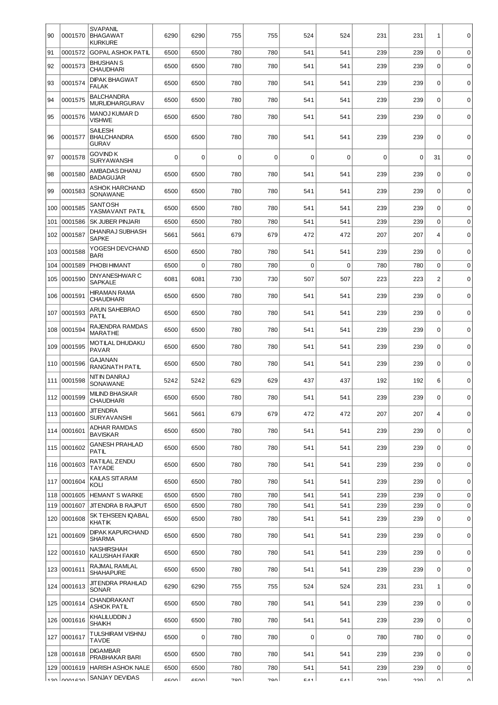| 90         | 0001570            | <b>SVAPANIL</b><br><b>BHAGAWAT</b><br><b>KURKURE</b> | 6290         | 6290         | 755        | 755        | 524         | 524        | 231        | 231        | $\mathbf{1}$            | $\mathbf 0$                |
|------------|--------------------|------------------------------------------------------|--------------|--------------|------------|------------|-------------|------------|------------|------------|-------------------------|----------------------------|
| 91         | 0001572            | <b>GOPAL ASHOK PATIL</b>                             | 6500         | 6500         | 780        | 780        | 541         | 541        | 239        | 239        | $\mathbf 0$             | $\mathbf 0$                |
| 92         | 0001573            | <b>BHUSHAN S</b><br><b>CHAUDHARI</b>                 | 6500         | 6500         | 780        | 780        | 541         | 541        | 239        | 239        | $\mathbf 0$             | $\mathbf 0$                |
| 93         | 0001574            | <b>DIPAK BHAGWAT</b><br><b>FALAK</b>                 | 6500         | 6500         | 780        | 780        | 541         | 541        | 239        | 239        | $\mathbf 0$             | $\mathbf 0$                |
| 94         | 0001575            | <b>BALCHANDRA</b><br><b>MURLIDHARGURAV</b>           | 6500         | 6500         | 780        | 780        | 541         | 541        | 239        | 239        | $\mathbf 0$             | $\mathbf 0$                |
| 95         | 0001576            | MANOJ KUMAR D<br>VISHWE                              | 6500         | 6500         | 780        | 780        | 541         | 541        | 239        | 239        | $\mathbf 0$             | $\mathbf 0$                |
| 96         | 0001577            | <b>SAILESH</b><br><b>BHALCHANDRA</b><br><b>GURAV</b> | 6500         | 6500         | 780        | 780        | 541         | 541        | 239        | 239        | $\mathbf 0$             | $\mathbf 0$                |
| 97         | 0001578            | <b>GOVIND K</b><br><b>SURYAWANSHI</b>                | 0            | 0            | 0          | 0          | $\mathbf 0$ | 0          | 0          | 0          | 31                      | $\mathbf 0$                |
| 98         | 0001580            | AMBADAS DHANU<br><b>BADAGUJAR</b>                    | 6500         | 6500         | 780        | 780        | 541         | 541        | 239        | 239        | $\mathbf 0$             | $\mathbf 0$                |
| 99         | 0001583            | ASHOK HARCHAND<br>SONAWANE                           | 6500         | 6500         | 780        | 780        | 541         | 541        | 239        | 239        | $\mathbf 0$             | $\mathbf 0$                |
| 100        | 0001585            | <b>SANTOSH</b><br>YASMAVANT PATIL                    | 6500         | 6500         | 780        | 780        | 541         | 541        | 239        | 239        | $\mathbf 0$             | $\mathbf 0$                |
| 101        | 0001586            | SK JUBER PINJARI                                     | 6500         | 6500         | 780        | 780        | 541         | 541        | 239        | 239        | $\mathbf 0$             | $\mathbf 0$                |
| 102        | 0001587            | <b>DHANRAJ SUBHASH</b><br><b>SAPKE</b>               | 5661         | 5661         | 679        | 679        | 472         | 472        | 207        | 207        | 4                       | $\mathbf 0$                |
| 103        | 0001588            | YOGESH DEVCHAND<br><b>BARI</b>                       | 6500         | 6500         | 780        | 780        | 541         | 541        | 239        | 239        | $\mathbf 0$             | $\mathbf 0$                |
| 104        | 0001589            | PHOBI HIMANT                                         | 6500         | $\mathbf 0$  | 780        | 780        | $\mathbf 0$ | 0          | 780        | 780        | $\mathbf 0$             | $\mathbf 0$                |
| 105        | 0001590            | DNYANESHWAR C<br><b>SAPKALE</b>                      | 6081         | 6081         | 730        | 730        | 507         | 507        | 223        | 223        | $\overline{c}$          | $\mathbf 0$                |
| 106        | 0001591            | <b>HIRAMAN RAMA</b><br><b>CHAUDHARI</b>              | 6500         | 6500         | 780        | 780        | 541         | 541        | 239        | 239        | 0                       | $\mathbf 0$                |
| 107        | 0001593            | <b>ARUN SAHEBRAO</b><br>PATIL                        | 6500         | 6500         | 780        | 780        | 541         | 541        | 239        | 239        | $\mathbf 0$             | $\mathbf 0$                |
| 108        | 0001594            | RAJENDRA RAMDAS<br><b>MARATHE</b>                    | 6500         | 6500         | 780        | 780        | 541         | 541        | 239        | 239        | $\mathbf 0$             | $\mathbf 0$                |
| 109        | 0001595            | MOTILAL DHUDAKU<br><b>PAVAR</b>                      | 6500         | 6500         | 780        | 780        | 541         | 541        | 239        | 239        | $\mathbf 0$             | $\mathbf 0$                |
| 110        | 0001596            | <b>GAJANAN</b><br>RANGNATH PATIL                     | 6500         | 6500         | 780        | 780        | 541         | 541        | 239        | 239        | $\mathbf 0$             | $\mathbf 0$                |
| 111        | 0001598            | NITIN DANRAJ<br>SONAWANE                             | 5242         | 5242         | 629        | 629        | 437         | 437        | 192        | 192        | 6                       | $\mathbf 0$                |
|            | 112 0001599        | <b>MILIND BHASKAR</b><br>CHAUDHARI                   | 6500         | 6500         | 780        | 780        | 541         | 541        | 239        | 239        | $\Omega$                | $\Omega$                   |
|            | 113 0001600        | JIT ENDRA<br><b>SURYAVANSHI</b>                      | 5661         | 5661         | 679        | 679        | 472         | 472        | 207        | 207        | $\overline{4}$          | $\mathbf 0$                |
| 114        | 0001601            | ADHAR RAMDAS<br><b>BAVISKAR</b>                      | 6500         | 6500         | 780        | 780        | 541         | 541        | 239        | 239        | $\Omega$                | $\mathbf 0$                |
|            | 115 0001602        | <b>GANESH PRAHLAD</b><br>PATIL                       | 6500         | 6500         | 780        | 780        | 541         | 541        | 239        | 239        | $\mathbf 0$             | $\mathbf 0$                |
|            | 116 0001603        | RATILAL ZENDU<br><b>TAYADE</b>                       | 6500         | 6500         | 780        | 780        | 541         | 541        | 239        | 239        | $\mathbf 0$             | $\mathbf 0$                |
| 117        | 0001604            | KAILAS SITARAM<br>KOLI                               | 6500         | 6500         | 780        | 780        | 541         | 541        | 239        | 239        | $\mathbf 0$             | $\mathbf 0$                |
| 118        | 0001605            | <b>HEMANT S WARKE</b>                                | 6500         | 6500         | 780        | 780        | 541         | 541        | 239        | 239        | $\mathbf 0$             | $\pmb{0}$                  |
| 119<br>120 | 0001607<br>0001608 | <b>JIT ENDRA B RAJPUT</b><br>SK TEHSEEN IQABAL       | 6500<br>6500 | 6500<br>6500 | 780<br>780 | 780<br>780 | 541<br>541  | 541<br>541 | 239<br>239 | 239<br>239 | $\Omega$<br>$\mathbf 0$ | $\mathbf 0$<br>$\mathbf 0$ |
|            | 121 0001609        | <b>KHATIK</b><br><b>DIPAK KAPURCHAND</b>             | 6500         | 6500         | 780        | 780        | 541         | 541        | 239        | 239        | $\mathbf 0$             | $\mathbf 0$                |
| 122        | 0001610            | <b>SHARMA</b><br>NASHIRSHAH                          | 6500         | 6500         | 780        | 780        | 541         | 541        | 239        | 239        | $\Omega$                | $\mathbf 0$                |
| 123        | 0001611            | KALUSHAH FAKIR<br>RAJMAL RAMLAL                      | 6500         | 6500         | 780        | 780        | 541         | 541        | 239        | 239        | $\mathbf 0$             | $\mathbf 0$                |
|            |                    | <b>SHAHAPURE</b><br><b>JIT ENDRA PRAHLAD</b>         |              |              |            |            |             |            |            |            |                         |                            |
|            | 124 0001613        | SONAR<br>CHANDRAKANT                                 | 6290         | 6290         | 755        | 755        | 524         | 524        | 231        | 231        | 1<br>$\Omega$           | $\mathbf 0$                |
| 125        | 0001614<br>0001616 | ASHOK PATIL<br>KHALILUDDIN J                         | 6500<br>6500 | 6500<br>6500 | 780<br>780 | 780<br>780 | 541<br>541  | 541        | 239<br>239 | 239<br>239 | $\mathbf 0$             | 0<br>$\mathbf 0$           |
| 126        |                    | <b>SHAIKH</b>                                        |              |              |            |            |             | 541        |            |            |                         |                            |
| 127        | 0001617            | TULSHIRAM VISHNU<br><b>TAVDE</b>                     | 6500         | $\mathbf 0$  | 780        | 780        | 0           | 0          | 780        | 780        | $\Omega$                | $\mathbf 0$                |
| 128        | 0001618            | <b>DIGAMBAR</b><br>PRABHAKAR BARI                    | 6500         | 6500         | 780        | 780        | 541         | 541        | 239        | 239        | $\mathbf 0$             | $\mathbf 0$                |
| 129        | 0001619            | <b>HARISH ASHOK NALE</b>                             | 6500         | 6500         | 780        | 780        | 541         | 541        | 239        | 239        | 0                       | $\mathbf 0$                |
|            |                    | SANJAY DEVIDAS                                       | erool        | croo         | 700        | 700        | <b>EA1</b>  | <b>CA1</b> | חרר        | $\sim$     | $\sim$                  |                            |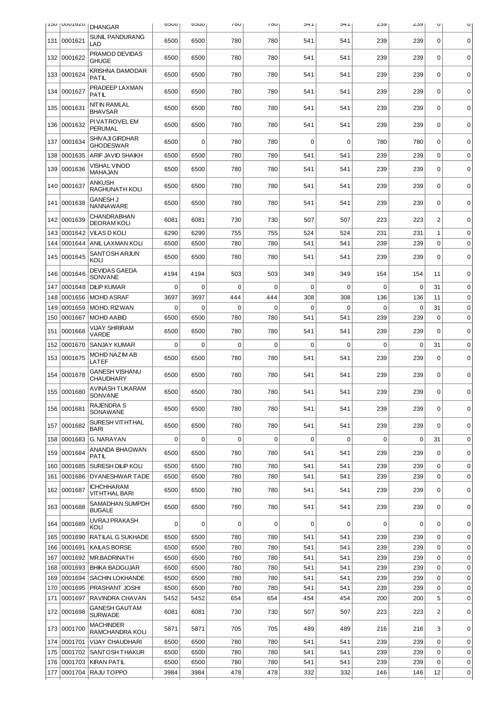|            | <b>IT20 I NOTOTO I</b> | <b>DHANGAR</b>                             | UUCO             | UUCO         | 100             | 100             | 1+C             | 1 +C            | ∠৩৬             | ∠ວນ                | U                 | U                          |
|------------|------------------------|--------------------------------------------|------------------|--------------|-----------------|-----------------|-----------------|-----------------|-----------------|--------------------|-------------------|----------------------------|
| 131        | 0001621                | <b>SUNIL PANDURANG</b><br>LAD              | 6500             | 6500         | 780             | 780             | 541             | 541             | 239             | 239                | $\mathbf 0$       | $\mathbf 0$                |
| 132        | 0001622                | PRAMOD DEVIDAS<br><b>GHUGE</b>             | 6500             | 6500         | 780             | 780             | 541             | 541             | 239             | 239                | 0                 | $\Omega$                   |
| 133        | 0001624                | KRISHNA DAMODAR<br><b>PATIL</b>            | 6500             | 6500         | 780             | 780             | 541             | 541             | 239             | 239                | $\mathbf 0$       | $\mathbf 0$                |
| 134        | 0001627                | PRADEEP LAXMAN<br>PATIL                    | 6500             | 6500         | 780             | 780             | 541             | 541             | 239             | 239                | $\mathbf 0$       | $\mathbf 0$                |
| 135        | 0001631                | NIT IN RAMLAL<br><b>BHAVSAR</b>            | 6500             | 6500         | 780             | 780             | 541             | 541             | 239             | 239                | $\mathbf 0$       | $\mathbf 0$                |
| 136        | 0001632                | PI VATROVEL EM<br><b>PERUMAL</b>           | 6500             | 6500         | 780             | 780             | 541             | 541             | 239             | 239                | $\mathbf 0$       | $\mathbf 0$                |
| 137        | 0001634                | <b>SHIVAJI GIRDHAR</b><br><b>GHODESWAR</b> | 6500             | $\Omega$     | 780             | 780             | $\Omega$        | 0               | 780             | 780                | $\Omega$          | $\mathbf 0$                |
| 138        | 0001635                | ARIF JAVID SHAIKH                          | 6500             | 6500         | 780             | 780             | 541             | 541             | 239             | 239                | $\mathbf 0$       | $\mathbf 0$                |
| 139        | 0001636                | <b>VISHAL VINOD</b><br>MAHAJAN             | 6500             | 6500         | 780             | 780             | 541             | 541             | 239             | 239                | $\mathbf 0$       | $\mathbf 0$                |
|            | 140 0001637            | ANKUSH<br>RAGHUNATH KOLI                   | 6500             | 6500         | 780             | 780             | 541             | 541             | 239             | 239                | 0                 | 0                          |
| 141        | 0001638                | <b>GANESH J</b><br>NANNAWARE               | 6500             | 6500         | 780             | 780             | 541             | 541             | 239             | 239                | $\Omega$          | $\mathbf 0$                |
| 142        | 0001639                | <b>CHANDRABHAN</b><br><b>DEORAM KOLI</b>   | 6081             | 6081         | 730             | 730             | 507             | 507             | 223             | 223                | $\overline{c}$    | $\mathbf 0$                |
| 143        | 0001642                | <b>VILAS D KOLI</b>                        | 6290             | 6290         | 755             | 755             | 524             | 524             | 231             | 231                | 1                 | $\mathbf 0$                |
| 144        | 0001644                | ANIL LAXMAN KOLI                           | 6500             | 6500         | 780             | 780             | 541             | 541             | 239             | 239                | 0                 | $\mathbf 0$                |
| 145        | 0001645                | SANTOSH ARJUN<br>KOLI                      | 6500             | 6500         | 780             | 780             | 541             | 541             | 239             | 239                | $\mathbf 0$       | $\mathbf 0$                |
| 146        | 0001646                | <b>DEVIDAS GAEDA</b><br>SONVANE            | 4194             | 4194         | 503             | 503             | 349             | 349             | 154             | 154                | 11                | $\mathbf 0$                |
| 147        | 0001648                | <b>DILIP KUMAR</b>                         | 0                | 0            | $\Omega$        | $\Omega$        | 0               | $\Omega$        | $\mathbf 0$     | 0                  | 31                | $\mathbf 0$                |
| 148        | 0001656                | <b>MOHD ASRAF</b>                          | 3697             | 3697         | 444             | 444             | 308             | 308             | 136             | 136                | 11                | $\mathbf 0$                |
| 149<br>150 | 0001659<br>0001667     | MOHD. RIZWAN<br><b>MOHD AABID</b>          | $\Omega$<br>6500 | 0<br>6500    | $\Omega$<br>780 | $\Omega$<br>780 | $\Omega$<br>541 | $\Omega$<br>541 | $\Omega$<br>239 | $\mathbf 0$<br>239 | 31<br>$\mathbf 0$ | $\mathbf 0$<br>$\mathbf 0$ |
| 151        | 0001668                | <b>VIJAY SHRIRAM</b><br><b>VARDE</b>       | 6500             | 6500         | 780             | 780             | 541             | 541             | 239             | 239                | $\Omega$          | $\mathbf 0$                |
| 152        | 0001670                | <b>SANJAY KUMAR</b>                        | 0                | 0            | 0               | $\mathbf 0$     | 0               | 0               | $\mathbf 0$     | $\mathbf 0$        | 31                | $\mathbf 0$                |
| 153        | 0001675                | MOHD NAZIM AB<br>LATEF                     | 6500             | 6500         | 780             | 780             | 541             | 541             | 239             | 239                | $\mathbf 0$       | $\mathbf 0$                |
| 154        | 0001678                | <b>GANESH VISHANU</b><br><b>CHAUDHARY</b>  | 6500             | 6500         | 780             | 780             | 541             | 541             | 239             | 239                | 0                 | $\mathbf 0$                |
| 155        | 0001680                | <b>AVINASH TUKARAM</b><br>SONVANE          | 6500             | 6500         | 780             | 780             | 541             | 541             | 239             | 239                | 0                 | 0                          |
|            | 156 0001681            | RAJENDRA S<br>SONAWANE                     | 6500             | 6500         | 780             | 780             | 541             | 541             | 239             | 239                | 0                 | $\mathbf 0$                |
| 157        | 0001682                | SURESH VITHTHAL<br><b>BARI</b>             | 6500             | 6500         | 780             | 780             | 541             | 541             | 239             | 239                | $\mathbf 0$       | 0                          |
| 158        | 0001683                | <b>G. NARAYAN</b>                          | 0                | 0            | 0               | 0               | 0               | 0               | 0               | 0                  | 31                | $\mathbf 0$                |
| 159        | 0001684                | ANANDA BHAGWAN<br><b>PATIL</b>             | 6500             | 6500         | 780             | 780             | 541             | 541             | 239             | 239                | $\Omega$          | $\mathbf 0$                |
| 160        | 0001685                | <b>SURESH DILIP KOLI</b>                   | 6500             | 6500         | 780             | 780             | 541             | 541             | 239             | 239                | 0                 | $\mathbf 0$                |
| 161        | 0001686                | <b>DYANESHWAR TADE</b>                     | 6500             | 6500         | 780             | 780             | 541             | 541             | 239             | 239                | 0                 | $\mathbf 0$                |
|            | 162 0001687            | <b>ICHCHHARAM</b><br><b>VITHTHAL BARI</b>  | 6500             | 6500         | 780             | 780             | 541             | 541             | 239             | 239                | 0                 | $\mathbf 0$                |
|            | 163 0001688            | SAMADHAN SUMPDH<br><b>BUGALE</b>           | 6500             | 6500         | 780             | 780             | 541             | 541             | 239             | 239                | $\mathbf 0$       | $\mathbf 0$                |
|            | 164 0001689            | UVRAJ PRAKASH<br>KOLI                      | 0                | 0            | 0               | 0               | 0               | $\mathbf 0$     | 0               | 0                  | 0                 | $\mathbf 0$                |
| 165        | 0001690                | RATILAL G SUKHADE                          | 6500             | 6500         | 780             | 780             | 541             | 541             | 239             | 239                | 0                 | $\mathbf 0$                |
| 166        | 0001691                | KAILAS BORSE                               | 6500             | 6500         | 780             | 780             | 541             | 541             | 239             | 239                | 0                 | $\mathbf 0$                |
| 167        | 0001692                | MR.BADRINATH                               | 6500             | 6500         | 780             | 780             | 541             | 541             | 239             | 239                | 0                 | $\mathbf 0$                |
| 168        | 0001693                | <b>BHIKA BADGUJAR</b>                      | 6500             | 6500         | 780             | 780             | 541             | 541             | 239             | 239                | 0                 | $\mathbf 0$                |
| 169<br>170 | 0001694<br>0001695     | SACHIN LOKHANDE<br>PRASHANT JOSHI          | 6500<br>6500     | 6500<br>6500 | 780<br>780      | 780<br>780      | 541<br>541      | 541<br>541      | 239<br>239      | 239<br>239         | 0<br>0            | $\mathbf 0$<br>$\mathbf 0$ |
| 171        | 0001697                | RAVINDRA CHAVAN                            | 5452             | 5452         | 654             | 654             | 454             | 454             | 200             | 200                | 5                 | $\mathbf 0$                |
| 172        | 0001698                | <b>GANESH GAUT AM</b><br><b>SURWADE</b>    | 6081             | 6081         | 730             | 730             | 507             | 507             | 223             | 223                | $\overline{c}$    | $\mathbf 0$                |
|            | 173 0001700            | <b>MACHINDER</b><br>RAMCHANDRA KOLI        | 5871             | 5871         | 705             | 705             | 489             | 489             | 216             | 216                | 3                 | $\mathbf 0$                |
| 174        | 0001701                | <b>VIJAY CHAUDHARI</b>                     | 6500             | 6500         | 780             | 780             | 541             | 541             | 239             | 239                | 0                 | $\mathbf 0$                |
| 175        | 0001702                | SANTOSH THAKUR                             | 6500             | 6500         | 780             | 780             | 541             | 541             | 239             | 239                | 0                 | $\mathbf 0$                |
| 176        | 0001703                | <b>KIRAN PATIL</b>                         | 6500             | 6500         | 780             | 780             | 541             | 541             | 239             | 239                | 0                 | $\pmb{0}$                  |
| 177        | 0001704                | RAJU TOPPO                                 | 3984             | 3984         | 478             | 478             | 332             | 332             | 146             | 146                | 12                | 0                          |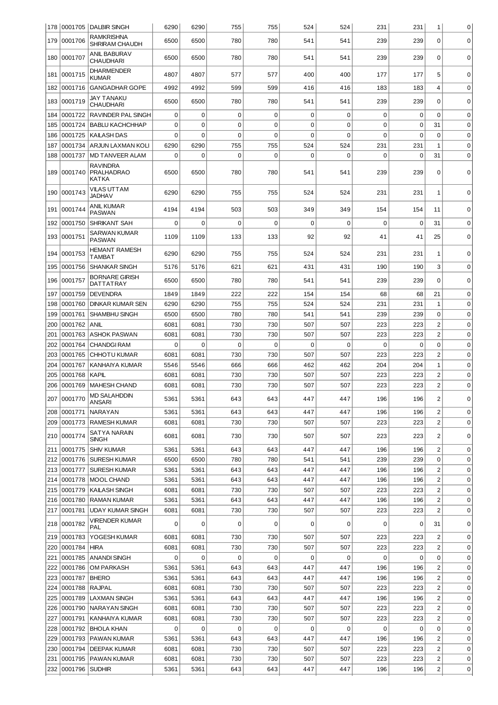|            |                    | 178   0001705   DALBIR SINGH                  | 6290        | 6290        | 755         | 755         | 524         | 524      | 231         | 231         | $\mathbf{1}$                     | 0                |
|------------|--------------------|-----------------------------------------------|-------------|-------------|-------------|-------------|-------------|----------|-------------|-------------|----------------------------------|------------------|
| 179        | 0001706            | <b>RAMKRISHNA</b><br>SHRIRAM CHAUDH           | 6500        | 6500        | 780         | 780         | 541         | 541      | 239         | 239         | $\mathbf 0$                      | $\mathbf 0$      |
|            | 180   0001707      | ANIL BABURAV<br><b>CHAUDHARI</b>              | 6500        | 6500        | 780         | 780         | 541         | 541      | 239         | 239         | $\mathbf 0$                      | $\mathbf 0$      |
| 181        | 0001715            | <b>DHARMENDER</b><br><b>KUMAR</b>             | 4807        | 4807        | 577         | 577         | 400         | 400      | 177         | 177         | 5                                | 0                |
| 182        | 0001716            | <b>GANGADHAR GOPE</b>                         | 4992        | 4992        | 599         | 599         | 416         | 416      | 183         | 183         | $\overline{4}$                   | $\mathbf 0$      |
| 183        | 0001719            | JAY TANAKU<br><b>CHAUDHARI</b>                | 6500        | 6500        | 780         | 780         | 541         | 541      | 239         | 239         | $\mathbf 0$                      | 0                |
| 184        | 0001722            | <b>RAVINDER PAL SINGH</b>                     | 0           | $\mathbf 0$ | 0           | $\mathbf 0$ | $\mathbf 0$ | 0        | $\mathbf 0$ | $\mathbf 0$ | $\mathbf 0$                      | $\mathbf 0$      |
| 185        | 0001724            | <b>BABLU KACHCHHAP</b>                        | $\Omega$    | $\mathbf 0$ | $\Omega$    | $\mathbf 0$ | $\mathbf 0$ | $\Omega$ | $\mathbf 0$ | 0           | 31                               | $\mathbf 0$      |
| 186        | 0001725            | KAILASH DAS                                   | 0           | 0           | 0           | $\mathbf 0$ | 0           | $\Omega$ | $\mathbf 0$ | 0           | $\mathbf 0$                      | 0                |
| 187        | 0001734            | ARJUN LAXMAN KOLI                             | 6290        | 6290        | 755         | 755         | 524         | 524      | 231         | 231         | 1                                | 0                |
| 188        | 0001737            | <b>MD TANVEER ALAM</b>                        | $\Omega$    | 0           | $\Omega$    | $\Omega$    | 0           | $\Omega$ | 0           | $\Omega$    | 31                               | 0                |
| 189        | 0001740            | <b>RAVINDRA</b><br><b>PRALHADRAO</b><br>KATKA | 6500        | 6500        | 780         | 780         | 541         | 541      | 239         | 239         | $\mathbf 0$                      | 0                |
|            | 190 0001743        | VILAS UTTAM<br><b>JADHAV</b>                  | 6290        | 6290        | 755         | 755         | 524         | 524      | 231         | 231         | $\mathbf{1}$                     | $\mathbf 0$      |
| 191        | 0001744            | ANIL KUMAR<br><b>PASWAN</b>                   | 4194        | 4194        | 503         | 503         | 349         | 349      | 154         | 154         | 11                               | $\Omega$         |
| 192        | 0001750            | <b>SHRIKANT SAH</b>                           | 0           | $\mathbf 0$ | $\Omega$    | $\Omega$    | $\Omega$    | $\Omega$ | $\mathbf 0$ | $\mathbf 0$ | 31                               | $\mathbf 0$      |
| 193        | 0001751            | SARWAN KUMAR<br><b>PASWAN</b>                 | 1109        | 1109        | 133         | 133         | 92          | 92       | 41          | 41          | 25                               | $\mathbf 0$      |
| 194        | 0001753            | HEMANT RAMESH<br>TAMBAT                       | 6290        | 6290        | 755         | 755         | 524         | 524      | 231         | 231         | 1                                | $\mathbf 0$      |
| 195        | 0001756            | <b>SHANKAR SINGH</b>                          | 5176        | 5176        | 621         | 621         | 431         | 431      | 190         | 190         | 3                                | $\mathbf 0$      |
| 196        | 0001757            | <b>BORNARE GIRISH</b><br>DATTATRAY            | 6500        | 6500        | 780         | 780         | 541         | 541      | 239         | 239         | $\mathbf 0$                      | $\Omega$         |
| 197        | 0001759            | <b>DEVENDRA</b>                               | 1849        | 1849        | 222         | 222         | 154         | 154      | 68          | 68          | 21                               | $\mathbf 0$      |
| 198        | 0001760            | <b>DINKAR KUMAR SEN</b>                       | 6290        | 6290        | 755         | 755         | 524         | 524      | 231         | 231         | $\mathbf{1}$                     | $\mathbf 0$      |
| 199        | 0001761            | <b>SHAMBHU SINGH</b>                          | 6500        | 6500        | 780         | 780         | 541         | 541      | 239         | 239         | $\mathbf 0$                      | $\mathbf 0$      |
| 200        | 0001762            | <b>ANIL</b>                                   | 6081        | 6081        | 730         | 730         | 507         | 507      | 223         | 223         | $\overline{c}$                   | $\mathbf 0$      |
| 201        | 0001763            | <b>ASHOK PASWAN</b>                           | 6081        | 6081        | 730         | 730         | 507         | 507      | 223         | 223         | $\overline{c}$                   | $\mathbf 0$      |
| 202        | 0001764            | <b>CHANDGI RAM</b>                            | $\mathbf 0$ | $\mathbf 0$ | $\mathbf 0$ | $\mathbf 0$ | $\mathbf 0$ | 0        | $\mathbf 0$ | $\mathbf 0$ | $\mathbf 0$                      | $\mathbf 0$      |
| 203        | 0001765            | <b>CHHOTU KUMAR</b>                           | 6081        | 6081        | 730         | 730         | 507         | 507      | 223         | 223         | $\overline{c}$                   | $\mathbf 0$      |
| 204        | 0001767            | <b>KANHAIYA KUMAR</b>                         | 5546        | 5546        | 666         | 666         | 462         | 462      | 204         | 204         | $\mathbf 1$                      | 0                |
| 205        | 0001768            | <b>KAPIL</b>                                  | 6081        | 6081        | 730         | 730         | 507         | 507      | 223         | 223         | $\overline{c}$                   | 0                |
| 206        | 0001769            | <b>MAHESH CHAND</b>                           | 6081        | 6081        | 730         | 730         | 507         | 507      | 223         | 223         | $\overline{c}$                   | $\mathbf 0$      |
|            | 207 0001770        | <b>MD SALAHDDIN</b><br>ANSARI                 | 5361        | 5361        | 643         | 643         | 447         | 447      | 196         | 196         | 2                                |                  |
|            | 208 0001771        | <b>NARAYAN</b>                                | 5361        | 5361        | 643         | 643         | 447         | 447      | 196         | 196         | $\overline{c}$                   | $\mathbf 0$      |
|            | 209 0001773        | <b>RAMESH KUMAR</b>                           | 6081        | 6081        | 730         | 730         | 507         | 507      | 223         | 223         | $\overline{c}$                   | 0                |
|            | 210 0001774        | SATYA NARAIN<br>SINGH                         | 6081        | 6081        | 730         | 730         | 507         | 507      | 223         | 223         | 2                                | 0                |
|            | 211  0001775       | <b>SHIV KUMAR</b>                             | 5361        | 5361        | 643         | 643         | 447         | 447      | 196         | 196         | $\overline{c}$                   | $\mathbf 0$      |
|            | 212 0001776        | SURESH KUMAR                                  | 6500        | 6500        | 780         | 780         | 541         | 541      | 239         | 239         | $\mathbf 0$                      | $\mathbf 0$      |
|            | 213 0001777        | <b>SURESH KUMAR</b>                           | 5361        | 5361        | 643         | 643         | 447         | 447      | 196         | 196         | $\overline{c}$                   | 0                |
|            | 214 0001778        | <b>MOOL CHAND</b>                             | 5361        | 5361        | 643         | 643         | 447         | 447      | 196         | 196         | $\overline{c}$                   | $\mathbf 0$      |
| 215        | 0001779            | KAILASH SINGH                                 | 6081        | 6081        | 730         | 730         | 507         | 507      | 223         | 223         | $\overline{c}$                   | $\mathbf 0$      |
| 216        | 0001780            | <b>RAMAN KUMAR</b>                            | 5361        | 5361        | 643         | 643         | 447         | 447      | 196         | 196         | $\overline{c}$<br>$\overline{2}$ | 0<br>$\mathbf 0$ |
| 217<br>218 | 0001781<br>0001782 | <b>UDAY KUMAR SINGH</b><br>VIRENDER KUMAR     | 6081<br>0   | 6081<br>0   | 730<br>0    | 730<br>0    | 507<br>0    | 507<br>0 | 223<br>0    | 223<br>0    | 31                               | 0                |
| 219        | 0001783            | PAL<br>YOGESH KUMAR                           | 6081        | 6081        | 730         | 730         | 507         | 507      | 223         | 223         | $\overline{c}$                   | 0                |
| 220        | 0001784            | <b>HIRA</b>                                   | 6081        | 6081        | 730         | 730         | 507         | 507      | 223         | 223         | $\overline{c}$                   | 0                |
| 221        |                    | 0001785 ANANDI SINGH                          | 0           | $\mathbf 0$ | 0           | $\mathbf 0$ | 0           | 0        | $\mathbf 0$ | 0           | $\mathbf 0$                      | 0                |
| 222        | 0001786            | OM PARKASH                                    | 5361        | 5361        | 643         | 643         | 447         | 447      | 196         | 196         | $\overline{2}$                   | $\mathbf 0$      |
| 223        | 0001787            | <b>BHERO</b>                                  | 5361        | 5361        | 643         | 643         | 447         | 447      | 196         | 196         | $\overline{c}$                   | $\mathbf 0$      |
| 224        | 0001788            | RAJPAL                                        | 6081        | 6081        | 730         | 730         | 507         | 507      | 223         | 223         | $\overline{\mathbf{c}}$          | $\mathbf 0$      |
| 225        | 0001789            | <b>LAXMAN SINGH</b>                           | 5361        | 5361        | 643         | 643         | 447         | 447      | 196         | 196         | $\overline{c}$                   | $\mathbf 0$      |
| 226        | 0001790            | NARAYAN SINGH                                 | 6081        | 6081        | 730         | 730         | 507         | 507      | 223         | 223         | $\overline{\mathbf{c}}$          | $\mathbf 0$      |
| 227        | 0001791            | KANHAIYA KUMAR                                | 6081        | 6081        | 730         | 730         | 507         | 507      | 223         | 223         | $\overline{\mathbf{c}}$          | $\mathbf 0$      |
| 228        | 0001792            | BHOLA KHAN                                    | 0           | $\mathbf 0$ | 0           | 0           | 0           | 0        | 0           | $\mathbf 0$ | 0                                | $\mathbf 0$      |
| 229        | 0001793            | PAWAN KUMAR                                   | 5361        | 5361        | 643         | 643         | 447         | 447      | 196         | 196         | $\overline{\mathbf{c}}$          | 0                |
| 230        | 0001794            | <b>DEEPAK KUMAR</b>                           | 6081        | 6081        | 730         | 730         | 507         | 507      | 223         | 223         | $\overline{\mathbf{c}}$          | 0                |
| 231        | 0001795            | PAWAN KUMAR                                   | 6081        | 6081        | 730         | 730         | 507         | 507      | 223         | 223         | 2                                | 0                |
|            | 232 0001796        | <b>SUDHIR</b>                                 | 5361        | 5361        | 643         | 643         | 447         | 447      | 196         | 196         | $\overline{\mathbf{c}}$          | 0                |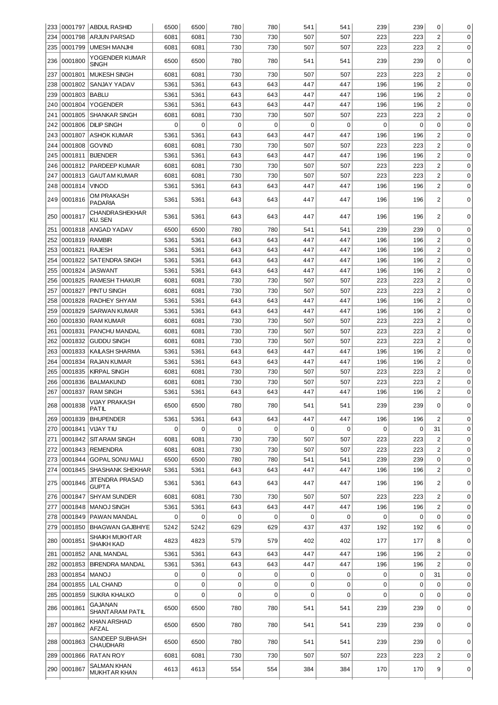|     |             | 233 0001797 ABDUL RASHID                | 6500        | 6500        | 780 | 780         | 541         | 541      | 239         | 239      | 0                       | 0           |
|-----|-------------|-----------------------------------------|-------------|-------------|-----|-------------|-------------|----------|-------------|----------|-------------------------|-------------|
| 234 | 0001798     | ARJUN PARSAD                            | 6081        | 6081        | 730 | 730         | 507         | 507      | 223         | 223      | $\overline{c}$          | $\mathbf 0$ |
| 235 | 0001799     | <b>UMESH MANJHI</b>                     | 6081        | 6081        | 730 | 730         | 507         | 507      | 223         | 223      | $\overline{c}$          | 0           |
| 236 | 0001800     | YOGENDER KUMAR                          | 6500        | 6500        | 780 | 780         | 541         | 541      | 239         | 239      | $\mathbf 0$             | 0           |
|     |             | SINGH                                   |             |             |     |             |             |          |             |          |                         |             |
| 237 | 0001801     | <b>MUKESH SINGH</b>                     | 6081        | 6081        | 730 | 730         | 507         | 507      | 223         | 223      | $\overline{\mathbf{c}}$ | 0           |
| 238 | 0001802     | SANJAY YADAV                            | 5361        | 5361        | 643 | 643         | 447         | 447      | 196         | 196      | $\overline{c}$          | 0           |
| 239 | 0001803     | <b>BABLU</b>                            | 5361        | 5361        | 643 | 643         | 447         | 447      | 196         | 196      | $\overline{c}$          | $\mathbf 0$ |
| 240 | 0001804     | <b>YOGENDER</b>                         | 5361        | 5361        | 643 | 643         | 447         | 447      | 196         | 196      | $\overline{c}$          | 0           |
| 241 | 0001805     | <b>SHANKAR SINGH</b>                    | 6081        | 6081        | 730 | 730         | 507         | 507      | 223         | 223      | $\overline{c}$          | 0           |
| 242 | 0001806     | <b>DILIP SINGH</b>                      | 0           | 0           | 0   | $\mathbf 0$ | 0           | 0        | $\mathbf 0$ | 0        | $\mathbf 0$             | 0           |
| 243 | 0001807     | <b>ASHOK KUMAR</b>                      | 5361        | 5361        | 643 | 643         | 447         | 447      | 196         | 196      | $\overline{c}$          | 0           |
| 244 | 0001808     | <b>GOVIND</b>                           | 6081        | 6081        | 730 | 730         | 507         | 507      | 223         | 223      | $\overline{c}$          | 0           |
| 245 | 0001811     | <b>BIJENDER</b>                         | 5361        | 5361        | 643 | 643         | 447         | 447      | 196         | 196      | $\overline{c}$          | 0           |
| 246 | 0001812     | <b>PARDEEP KUMAR</b>                    | 6081        | 6081        | 730 | 730         | 507         | 507      | 223         | 223      | $\overline{c}$          | $\mathbf 0$ |
| 247 | 0001813     | <b>GAUTAM KUMAR</b>                     | 6081        | 6081        | 730 | 730         | 507         | 507      | 223         | 223      | $\overline{c}$          | $\mathbf 0$ |
| 248 | 0001814     | <b>VINOD</b>                            | 5361        | 5361        | 643 | 643         | 447         | 447      | 196         | 196      | $\overline{c}$          | 0           |
|     | 249 0001816 | OM PRAKASH                              | 5361        | 5361        | 643 | 643         | 447         | 447      | 196         | 196      | $\overline{\mathbf{c}}$ | $\mathbf 0$ |
|     |             | PADARIA<br>CHANDRASHEKHAR               |             |             |     |             |             |          |             |          |                         |             |
| 250 | 0001817     | <b>KU. SEN</b>                          | 5361        | 5361        | 643 | 643         | 447         | 447      | 196         | 196      | $\overline{c}$          | 0           |
| 251 | 0001818     | ANGAD YADAV                             | 6500        | 6500        | 780 | 780         | 541         | 541      | 239         | 239      | $\boldsymbol{0}$        | 0           |
| 252 | 0001819     | <b>RAMBIR</b>                           | 5361        | 5361        | 643 | 643         | 447         | 447      | 196         | 196      | $\overline{\mathbf{c}}$ | 0           |
| 253 | 0001821     | <b>RAJESH</b>                           | 5361        | 5361        | 643 | 643         | 447         | 447      | 196         | 196      | $\overline{c}$          | $\mathbf 0$ |
| 254 | 0001822     | <b>SATENDRA SINGH</b>                   | 5361        | 5361        | 643 | 643         | 447         | 447      | 196         | 196      | $\overline{c}$          | $\mathbf 0$ |
| 255 | 0001824     | <b>JASWANT</b>                          | 5361        | 5361        | 643 | 643         | 447         | 447      | 196         | 196      | $\overline{c}$          | $\mathbf 0$ |
| 256 | 0001825     | <b>RAMESH THAKUR</b>                    | 6081        | 6081        | 730 | 730         | 507         | 507      | 223         | 223      | $\overline{c}$          | $\mathbf 0$ |
| 257 | 0001827     | PINTU SINGH                             | 6081        | 6081        | 730 | 730         | 507         | 507      | 223         | 223      | $\overline{c}$          | 0           |
| 258 | 0001828     | RADHEY SHYAM                            | 5361        | 5361        | 643 | 643         | 447         | 447      | 196         | 196      | $\overline{c}$          | 0           |
| 259 | 0001829     | <b>SARWAN KUMAR</b>                     | 5361        | 5361        | 643 | 643         | 447         | 447      | 196         | 196      | $\overline{c}$          | 0           |
| 260 | 0001830     | <b>RAM KUMAR</b>                        | 6081        | 6081        | 730 | 730         | 507         | 507      | 223         | 223      | $\overline{c}$          | 0           |
| 261 | 0001831     | <b>PANCHU MANDAL</b>                    | 6081        | 6081        | 730 | 730         | 507         | 507      | 223         | 223      | $\overline{c}$          | 0           |
| 262 | 0001832     | <b>GUDDU SINGH</b>                      | 6081        | 6081        | 730 | 730         | 507         | 507      | 223         | 223      | $\overline{c}$          | 0           |
| 263 | 0001833     | KAILASH SHARMA                          | 5361        | 5361        | 643 | 643         | 447         | 447      | 196         | 196      | $\overline{c}$          | $\mathbf 0$ |
| 264 | 0001834     | <b>RAJAN KUMAR</b>                      | 5361        | 5361        | 643 | 643         | 447         | 447      | 196         | 196      | $\overline{c}$          | 0           |
| 265 | 0001835     | <b>KIRPAL SINGH</b>                     | 6081        | 6081        | 730 | 730         | 507         | 507      | 223         | 223      | $\overline{c}$          | 0           |
| 266 | 0001836     | <b>BALMAKUND</b>                        | 6081        | 6081        | 730 | 730         | 507         | 507      | 223         | 223      | $\overline{\mathbf{c}}$ | $\mathbf 0$ |
| 267 | 0001837     | <b>RAM SINGH</b>                        | 5361        | 5361        | 643 | 643         | 447         | 447      | 196         | 196      | $\overline{c}$          | 0           |
|     | 268 0001838 | VIJAY PRAKASH                           | 6500        | 6500        | 780 | 780         | 541         | 541      | 239         | 239      | 0                       | 0           |
|     |             | PATIL                                   |             |             |     |             |             |          |             |          |                         |             |
| 269 | 10001839    | <b>BHUPENDER</b>                        | 5361        | 5361        | 643 | 643         | 447         | 447      | 196         | 196      | $\overline{2}$          | 0           |
| 270 | 0001841     | ∣VIJAY TIU                              | 0           | $\mathbf 0$ | 0   | $\mathbf 0$ | 0           | 0        | 0           | 0        | 31                      | 0           |
| 271 |             | 0001842 SITARAM SINGH                   | 6081        | 6081        | 730 | 730         | 507         | 507      | 223         | 223      | $\overline{c}$          | 0           |
| 272 |             | 0001843 REMENDRA                        | 6081        | 6081        | 730 | 730         | 507         | 507      | 223         | 223      | $\overline{c}$          | $\mathbf 0$ |
| 273 | 0001844     | GOPAL SONU MALI                         | 6500        | 6500        | 780 | 780         | 541         | 541      | 239         | 239      | $\mathbf 0$             | $\mathbf 0$ |
| 274 |             | 0001845 SHASHANK SHEKHAR                | 5361        | 5361        | 643 | 643         | 447         | 447      | 196         | 196      | $\overline{c}$          | 0           |
| 275 | 0001846     | <b>JIT ENDRA PRASAD</b><br><b>GUPTA</b> | 5361        | 5361        | 643 | 643         | 447         | 447      | 196         | 196      | 2                       | 0           |
| 276 | 0001847     | <b>SHYAM SUNDER</b>                     | 6081        | 6081        | 730 | 730         | 507         | 507      | 223         | 223      | $\overline{c}$          | $\mathbf 0$ |
| 277 | 0001848     | MANOJ SINGH                             | 5361        | 5361        | 643 | 643         | 447         | 447      | 196         | 196      | 2                       | 0           |
| 278 | 0001849     | PAWAN MANDAL                            | 0           | 0           | 0   | 0           | 0           | 0        | 0           | 0        | 0                       | 0           |
| 279 | 0001850     | BHAGWAN GAJBHIYE                        | 5242        | 5242        | 629 | 629         | 437         | 437      | 192         | 192      | 6                       | 0           |
| 280 | 0001851     | SHAIKH MUKHT AR<br>SHAIKH KAD           | 4823        | 4823        | 579 | 579         | 402         | 402      | 177         | 177      | 8                       | $\mathbf 0$ |
| 281 |             | 0001852  ANIL MANDAL                    | 5361        | 5361        | 643 | 643         | 447         | 447      | 196         | 196      | $\overline{c}$          | 0           |
| 282 | 0001853     | <b>BIRENDRA MANDAL</b>                  | 5361        | 5361        | 643 | 643         | 447         | 447      | 196         | 196      | $\overline{2}$          | 0           |
| 283 | 0001854     | <b>MANOJ</b>                            | $\mathbf 0$ | 0           | 0   | $\mathbf 0$ | 0           | 0        | $\mathbf 0$ | 0        | 31                      | 0           |
| 284 | 0001855     | LAL CHAND                               | $\mathbf 0$ | $\mathbf 0$ | 0   | $\mathbf 0$ | $\mathbf 0$ | 0        | 0           | 0        | $\mathbf 0$             | 0           |
| 285 | 0001859     | <b>SUKRA KHALKO</b>                     | $\Omega$    | $\Omega$    | 0   | $\Omega$    | $\Omega$    | $\Omega$ | 0           | $\Omega$ | $\Omega$                | 0           |
| 286 | 0001861     | GAJANAN<br>SHANTARAM PATIL              | 6500        | 6500        | 780 | 780         | 541         | 541      | 239         | 239      | $\mathbf 0$             | 0           |
|     | 287 0001862 | KHAN ARSHAD<br>AFZAL                    | 6500        | 6500        | 780 | 780         | 541         | 541      | 239         | 239      | $\mathbf 0$             | 0           |
| 288 | 0001863     | SANDEEP SUBHASH<br>CHAUDHARI            | 6500        | 6500        | 780 | 780         | 541         | 541      | 239         | 239      | $\Omega$                | 0           |
| 289 | 0001866     | <b>RATAN ROY</b>                        | 6081        | 6081        | 730 | 730         | 507         | 507      | 223         | 223      | $\overline{c}$          | $\mathbf 0$ |
|     | 290 0001867 | SALMAN KHAN                             | 4613        |             |     | 554         | 384         |          |             |          |                         |             |
|     |             | MUKHTAR KHAN                            |             | 4613        | 554 |             |             | 384      | 170         | 170      | 9                       | 0           |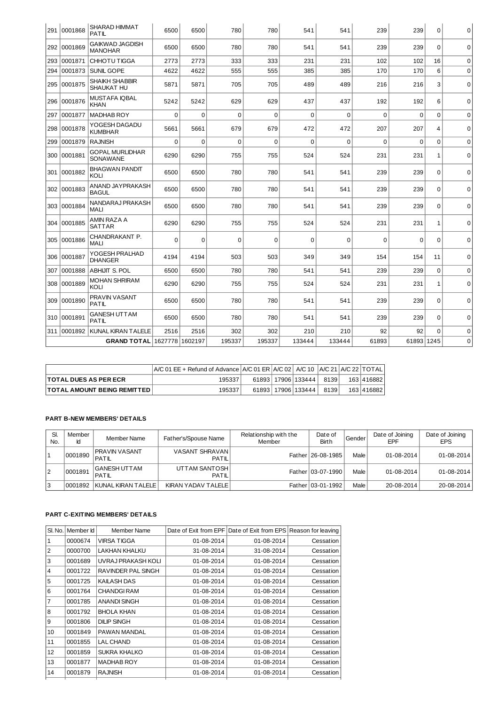|     | 291 0001868   | <b>SHARAD HIMMAT</b><br>PATIL       | 6500     | 6500        | 780      | 780      | 541         | 541      | 239      | 239         | $\mathbf 0$  | $\mathbf 0$ |
|-----|---------------|-------------------------------------|----------|-------------|----------|----------|-------------|----------|----------|-------------|--------------|-------------|
|     | 292 0001869   | GAIKWAD JAGDISH<br><b>MANOHAR</b>   | 6500     | 6500        | 780      | 780      | 541         | 541      | 239      | 239         | $\Omega$     | $\mathbf 0$ |
| 293 | 0001871       | CHHOTU TIGGA                        | 2773     | 2773        | 333      | 333      | 231         | 231      | 102      | 102         | 16           | $\mathbf 0$ |
| 294 | 0001873       | SUNIL GOPE                          | 4622     | 4622        | 555      | 555      | 385         | 385      | 170      | 170         | 6            | $\mathbf 0$ |
| 295 | 0001875       | <b>SHAIKH SHABBIR</b><br>SHAUKAT HU | 5871     | 5871        | 705      | 705      | 489         | 489      | 216      | 216         | 3            | $\mathbf 0$ |
| 296 | 0001876       | MUSTAFA IQBAL<br>KHAN               | 5242     | 5242        | 629      | 629      | 437         | 437      | 192      | 192         | 6            | $\pmb{0}$   |
| 297 | 0001877       | <b>MADHAB ROY</b>                   | $\Omega$ | $\Omega$    | $\Omega$ | $\Omega$ | $\Omega$    | $\Omega$ | $\Omega$ | $\Omega$    | $\Omega$     | $\mathbf 0$ |
| 298 | 0001878       | YOGESH DAGADU<br><b>KUMBHAR</b>     | 5661     | 5661        | 679      | 679      | 472         | 472      | 207      | 207         | 4            | $\mathbf 0$ |
| 299 | 0001879       | <b>RAJNISH</b>                      | $\Omega$ | $\mathbf 0$ | $\Omega$ | $\Omega$ | $\mathbf 0$ | $\Omega$ | $\Omega$ | $\mathbf 0$ | $\mathbf 0$  | $\Omega$    |
|     | 300  0001881  | <b>GOPAL MURLIDHAR</b><br>SONAWANE  | 6290     | 6290        | 755      | 755      | 524         | 524      | 231      | 231         | $\mathbf{1}$ | $\mathbf 0$ |
|     | 301   0001882 | <b>BHAGWAN PANDIT</b><br>KOLI       | 6500     | 6500        | 780      | 780      | 541         | 541      | 239      | 239         | $\mathbf 0$  | $\Omega$    |
|     | 302 10001883  | ANAND JAYPRAKASH<br><b>BAGUL</b>    | 6500     | 6500        | 780      | 780      | 541         | 541      | 239      | 239         | $\mathbf 0$  | $\mathbf 0$ |
|     | 303 0001884   | NANDARAJ PRAKASH<br>MALI            | 6500     | 6500        | 780      | 780      | 541         | 541      | 239      | 239         | $\Omega$     | $\mathbf 0$ |
|     | 304 0001885   | AMIN RAZA A<br><b>SATTAR</b>        | 6290     | 6290        | 755      | 755      | 524         | 524      | 231      | 231         | $\mathbf{1}$ | $\mathbf 0$ |
|     | 305 0001886   | CHANDRAKANT P.<br><b>MALI</b>       | $\Omega$ | $\Omega$    | $\Omega$ | $\Omega$ | $\Omega$    | $\Omega$ | $\Omega$ | $\Omega$    | $\Omega$     | $\mathbf 0$ |
|     | 306 0001887   | YOGESH PRALHAD<br><b>DHANGER</b>    | 4194     | 4194        | 503      | 503      | 349         | 349      | 154      | 154         | 11           | $\Omega$    |
| 307 | 0001888       | <b>ABHIJIT S. POL</b>               | 6500     | 6500        | 780      | 780      | 541         | 541      | 239      | 239         | $\mathbf 0$  | $\mathbf 0$ |
|     | 308 0001889   | <b>MOHAN SHRIRAM</b><br>KOLI        | 6290     | 6290        | 755      | 755      | 524         | 524      | 231      | 231         | $\mathbf{1}$ | $\mathbf 0$ |
| 309 | 0001890       | PRAVIN VASANT<br>PATIL              | 6500     | 6500        | 780      | 780      | 541         | 541      | 239      | 239         | $\Omega$     | $\mathbf 0$ |
| 310 | 0001891       | GANESH UTTAM<br>PATIL               | 6500     | 6500        | 780      | 780      | 541         | 541      | 239      | 239         | $\Omega$     | $\mathbf 0$ |
| 311 | 0001892       | <b>KUNAL KIRAN TALELE</b>           | 2516     | 2516        | 302      | 302      | 210         | 210      | 92       | 92          | $\mathbf 0$  | $\mathbf 0$ |
|     |               | GRAND TOTAL   1627778   1602197     |          |             | 195337   | 195337   | 133444      | 133444   | 61893    | 61893 1245  |              | $\mathbf 0$ |

|                                       | $AC$ 01 EE + Refund of Advance $AC$ 01 ER $A/C$ 02 A/C 10 $AC$ 21 A/C 22 TOTAL |  |                        |      |            |
|---------------------------------------|--------------------------------------------------------------------------------|--|------------------------|------|------------|
| <b>ITOTAL DUES AS PER ECR</b>         | 195337                                                                         |  | 61893   17906   133444 | 8139 | 163 416882 |
| <b>ITOTAL AMOUNT BEING REMITTED I</b> | 195337                                                                         |  | 61893   17906   133444 | 8139 | 163 416882 |

# **PART B-NEW MEMBERS' DETAILS**

| SI.<br>No. | Member<br>Id | Member Name                   | Father's/Spouse Name           | Relationship with the<br>Member | Date of<br><b>Birth</b> | Gender | Date of Joining<br>EPF | Date of Joining<br><b>EPS</b> |
|------------|--------------|-------------------------------|--------------------------------|---------------------------------|-------------------------|--------|------------------------|-------------------------------|
|            | 0001890      | <b>PRAVIN VASANT</b><br>PATIL | <b>VASANT SHRAVAN</b><br>PATIL |                                 | Father 26-08-1985       | Male   | 01-08-2014             | 01-08-2014                    |
| 12         | 0001891      | <b>GANESH UTTAM</b><br>PATIL  | UTTAM SANTOSH<br>PATIL         |                                 | Father 03-07-1990       | Male   | 01-08-2014             | 01-08-2014                    |
| IЗ         | 0001892      | KUNAL KIRAN TALELE            | KIRAN YADAV TALELE             |                                 | Father 03-01-1992       | Male   | 20-08-2014             | 20-08-2014                    |

# **PART C-EXITING MEMBERS' DETAILS**

| SI. No. I      | Member Id | Member Name         | Date of Exit from EPF | Date of Exit from EPS   Reason for leaving |           |
|----------------|-----------|---------------------|-----------------------|--------------------------------------------|-----------|
| 1              | 0000674   | <b>VIRSA TIGGA</b>  | 01-08-2014            | 01-08-2014                                 | Cessation |
| $\overline{2}$ | 0000700   | LAKHAN KHALKU       | 31-08-2014            | 31-08-2014                                 | Cessation |
| 3              | 0001689   | UVRAJ PRAKASH KOLI  | 01-08-2014            | 01-08-2014                                 | Cessation |
| 4              | 0001722   | RAVINDER PAL SINGH  | 01-08-2014            | 01-08-2014                                 | Cessation |
| 5              | 0001725   | KAILASH DAS         | 01-08-2014            | 01-08-2014                                 | Cessation |
| 6              | 0001764   | <b>CHANDGIRAM</b>   | 01-08-2014            | 01-08-2014                                 | Cessation |
| 7              | 0001785   | ANANDI SINGH        | 01-08-2014            | 01-08-2014                                 | Cessation |
| 8              | 0001792   | <b>BHOLA KHAN</b>   | 01-08-2014            | 01-08-2014                                 | Cessation |
| 9              | 0001806   | <b>DILIP SINGH</b>  | 01-08-2014            | 01-08-2014                                 | Cessation |
| 10             | 0001849   | PAWAN MANDAL        | 01-08-2014            | 01-08-2014                                 | Cessation |
| 11             | 0001855   | <b>LAL CHAND</b>    | 01-08-2014            | 01-08-2014                                 | Cessation |
| 12             | 0001859   | <b>SUKRA KHALKO</b> | 01-08-2014            | 01-08-2014                                 | Cessation |
| 13             | 0001877   | <b>MADHAB ROY</b>   | 01-08-2014            | 01-08-2014                                 | Cessation |
| 14             | 0001879   | <b>RAJNISH</b>      | 01-08-2014            | 01-08-2014                                 | Cessation |